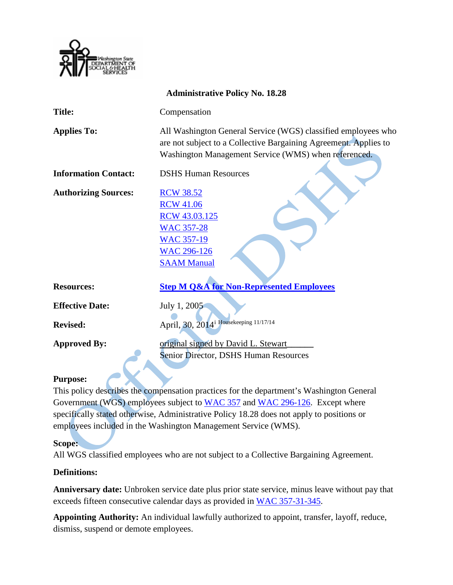

| <b>Administrative Policy No. 18.28</b> |                                                                                                                                                                                           |
|----------------------------------------|-------------------------------------------------------------------------------------------------------------------------------------------------------------------------------------------|
| <b>Title:</b>                          | Compensation                                                                                                                                                                              |
| <b>Applies To:</b>                     | All Washington General Service (WGS) classified employees who<br>are not subject to a Collective Bargaining Agreement. Applies to<br>Washington Management Service (WMS) when referenced. |
| <b>Information Contact:</b>            | <b>DSHS Human Resources</b>                                                                                                                                                               |
| <b>Authorizing Sources:</b>            | <b>RCW 38.52</b><br><b>RCW 41.06</b><br>RCW 43.03.125<br><b>WAC 357-28</b><br><b>WAC 357-19</b><br><b>WAC 296-126</b><br><b>SAAM Manual</b>                                               |
| <b>Resources:</b>                      | <b>Step M Q&amp;A for Non-Represented Employees</b>                                                                                                                                       |
| <b>Effective Date:</b>                 | July 1, 2005                                                                                                                                                                              |
| <b>Revised:</b>                        | April, 30, 2014 <sup>i</sup> Housekeeping 11/17/14                                                                                                                                        |
| <b>Approved By:</b>                    | original signed by David L. Stewart<br>Senior Director, DSHS Human Resources                                                                                                              |

#### **Purpose:**

This policy describes the compensation practices for the department's Washington General Government (WGS) employees subject to [WAC 357](http://apps.leg.wa.gov/WAC/default.aspx?cite=357) and [WAC 296-126.](http://apps.leg.wa.gov/WAC/default.aspx?cite=296-126) Except where specifically stated otherwise, Administrative Policy 18.28 does not apply to positions or employees included in the Washington Management Service (WMS).

#### **Scope:**

All WGS classified employees who are not subject to a Collective Bargaining Agreement.

#### **Definitions:**

**Anniversary date:** Unbroken service date plus prior state service, minus leave without pay that exceeds fifteen consecutive calendar days as provided in [WAC 357-31-345.](http://apps.leg.wa.gov/WAC/default.aspx?cite=357-31-345)

**Appointing Authority:** An individual lawfully authorized to appoint, transfer, layoff, reduce, dismiss, suspend or demote employees.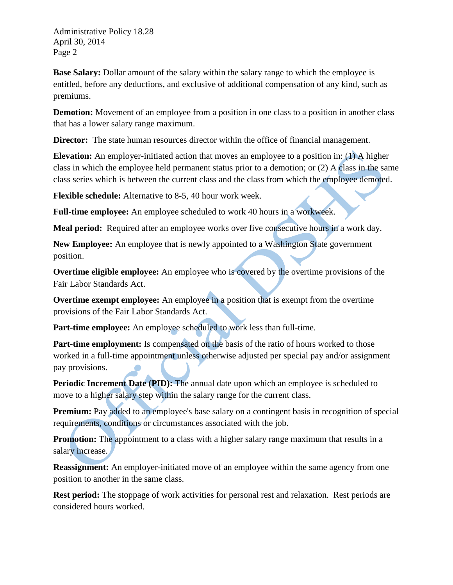**Base Salary:** Dollar amount of the salary within the salary range to which the employee is entitled, before any deductions, and exclusive of additional compensation of any kind, such as premiums.

**Demotion:** Movement of an employee from a position in one class to a position in another class that has a lower salary range maximum.

**Director:** The state human resources director within the office of financial management.

**Elevation:** An employer-initiated action that moves an employee to a position in: (1) A higher class in which the employee held permanent status prior to a demotion; or (2) A class in the same class series which is between the current class and the class from which the employee demoted.

**Flexible schedule:** Alternative to 8-5, 40 hour work week.

**Full-time employee:** An employee scheduled to work 40 hours in a workweek.

**Meal period:** Required after an employee works over five consecutive hours in a work day.

**New Employee:** An employee that is newly appointed to a Washington State government position.

**Overtime eligible employee:** An employee who is covered by the overtime provisions of the Fair Labor Standards Act.

**Overtime exempt employee:** An employee in a position that is exempt from the overtime provisions of the Fair Labor Standards Act.

**Part-time employee:** An employee scheduled to work less than full-time.

**Part-time employment:** Is compensated on the basis of the ratio of hours worked to those worked in a full-time appointment unless otherwise adjusted per special pay and/or assignment pay provisions.

**Periodic Increment Date (PID):** The annual date upon which an employee is scheduled to move to a higher salary step within the salary range for the current class.

**Premium:** Pay added to an employee's base salary on a contingent basis in recognition of special requirements, conditions or circumstances associated with the job.

**Promotion:** The appointment to a class with a higher salary range maximum that results in a salary increase.

**Reassignment:** An employer-initiated move of an employee within the same agency from one position to another in the same class.

**Rest period:** The stoppage of work activities for personal rest and relaxation. Rest periods are considered hours worked.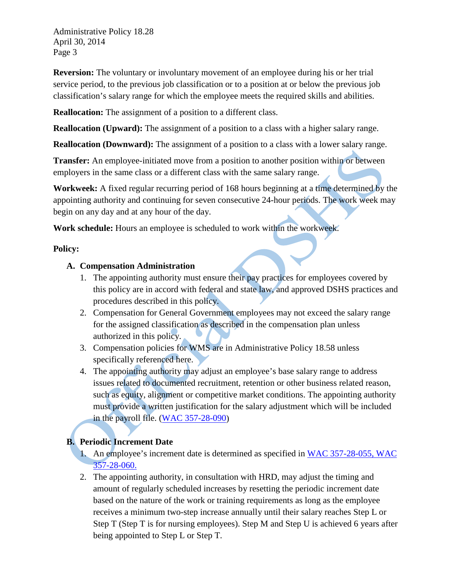**Reversion:** The voluntary or involuntary movement of an employee during his or her trial service period, to the previous job classification or to a position at or below the previous job classification's salary range for which the employee meets the required skills and abilities.

**Reallocation:** The assignment of a position to a different class.

**Reallocation (Upward):** The assignment of a position to a class with a higher salary range.

**Reallocation (Downward):** The assignment of a position to a class with a lower salary range.

**Transfer:** An employee-initiated move from a position to another position within or between employers in the same class or a different class with the same salary range.

**Workweek:** A fixed regular recurring period of 168 hours beginning at a time determined by the appointing authority and continuing for seven consecutive 24-hour periods. The work week may begin on any day and at any hour of the day.

**Work schedule:** Hours an employee is scheduled to work within the workweek.

#### **Policy:**

## **A. Compensation Administration**

- 1. The appointing authority must ensure their pay practices for employees covered by this policy are in accord with federal and state law, and approved DSHS practices and procedures described in this policy.
- 2. Compensation for General Government employees may not exceed the salary range for the assigned classification as described in the compensation plan unless authorized in this policy.
- 3. Compensation policies for WMS are in Administrative Policy 18.58 unless specifically referenced here.
- 4. The appointing authority may adjust an employee's base salary range to address issues related to documented recruitment, retention or other business related reason, such as equity, alignment or competitive market conditions. The appointing authority must provide a written justification for the salary adjustment which will be included in the payroll file. [\(WAC 357-28-090\)](http://apps.leg.wa.gov/WAC/default.aspx?cite=357-28-090)

## **B. Periodic Increment Date**

- 1. An employee's increment date is determined as specified in [WAC 357-28-055,](http://apps.leg.wa.gov/WAC/default.aspx?cite=357-28-055) WAC [357-28-060.](http://apps.leg.wa.gov/WAC/default.aspx?cite=357-28-060)
- 2. The appointing authority, in consultation with HRD, may adjust the timing and amount of regularly scheduled increases by resetting the periodic increment date based on the nature of the work or training requirements as long as the employee receives a minimum two-step increase annually until their salary reaches Step L or Step T (Step T is for nursing employees). Step M and Step U is achieved 6 years after being appointed to Step L or Step T.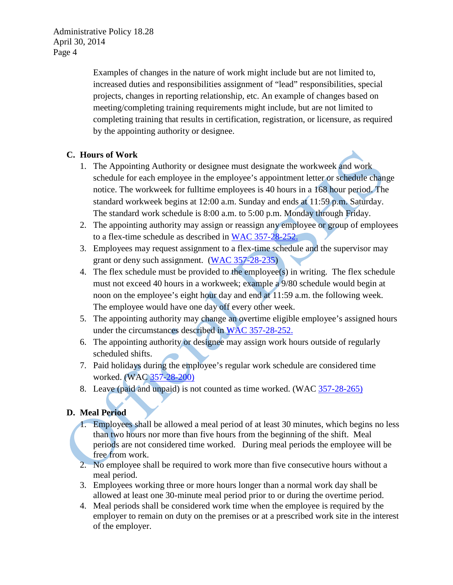> Examples of changes in the nature of work might include but are not limited to, increased duties and responsibilities assignment of "lead" responsibilities, special projects, changes in reporting relationship, etc. An example of changes based on meeting/completing training requirements might include, but are not limited to completing training that results in certification, registration, or licensure, as required by the appointing authority or designee.

#### **C. Hours of Work**

- 1. The Appointing Authority or designee must designate the workweek and work schedule for each employee in the employee's appointment letter or schedule change notice. The workweek for fulltime employees is 40 hours in a 168 hour period. The standard workweek begins at 12:00 a.m. Sunday and ends at 11:59 p.m. Saturday. The standard work schedule is 8:00 a.m. to 5:00 p.m. Monday through Friday.
- 2. The appointing authority may assign or reassign any employee or group of employees to a flex-time schedule as described in [WAC 357-28-252.](http://apps.leg.wa.gov/WAC/default.aspx?cite=357-28-252)
- 3. Employees may request assignment to a flex-time schedule and the supervisor may grant or deny such assignment. [\(WAC 357-28-235\)](http://apps.leg.wa.gov/WAC/default.aspx?cite=357-28-235)
- 4. The flex schedule must be provided to the employee(s) in writing. The flex schedule must not exceed 40 hours in a workweek; example a 9/80 schedule would begin at noon on the employee's eight hour day and end at 11:59 a.m. the following week. The employee would have one day off every other week.
- 5. The appointing authority may change an overtime eligible employee's assigned hours under the circumstances described in [WAC 357-28-252.](http://apps.leg.wa.gov/WAC/default.aspx?cite=357-28-252)
- 6. The appointing authority or designee may assign work hours outside of regularly scheduled shifts.
- 7. Paid holidays during the employee's regular work schedule are considered time worked. (WAC [357-28-200\)](http://apps.leg.wa.gov/WAC/default.aspx?cite=357-28-200)
- 8. Leave (paid and unpaid) is not counted as time worked. (WAC [357-28-265\)](http://apps.leg.wa.gov/WAC/default.aspx?cite=357-28-265)

## **D. Meal Period**

- 1. Employees shall be allowed a meal period of at least 30 minutes, which begins no less than two hours nor more than five hours from the beginning of the shift. Meal periods are not considered time worked. During meal periods the employee will be free from work.
- 2. No employee shall be required to work more than five consecutive hours without a meal period.
- 3. Employees working three or more hours longer than a normal work day shall be allowed at least one 30-minute meal period prior to or during the overtime period.
- 4. Meal periods shall be considered work time when the employee is required by the employer to remain on duty on the premises or at a prescribed work site in the interest of the employer.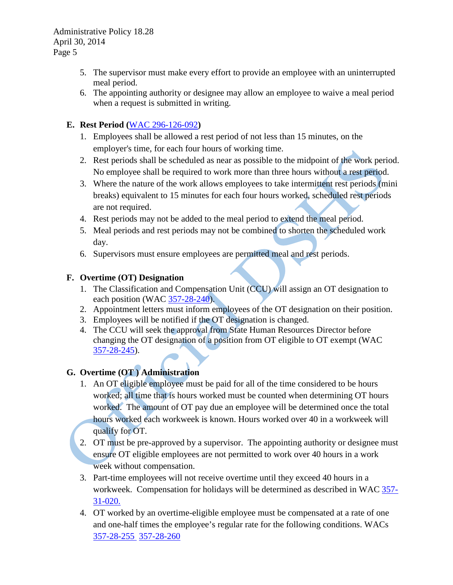- 5. The supervisor must make every effort to provide an employee with an uninterrupted meal period.
- 6. The appointing authority or designee may allow an employee to waive a meal period when a request is submitted in writing.

## **E. Rest Period (**[WAC 296-126-092](http://apps.leg.wa.gov/WAC/default.aspx?cite=296-126)**)**

- 1. Employees shall be allowed a rest period of not less than 15 minutes, on the employer's time, for each four hours of working time.
- 2. Rest periods shall be scheduled as near as possible to the midpoint of the work period. No employee shall be required to work more than three hours without a rest period.
- 3. Where the nature of the work allows employees to take intermittent rest periods (mini breaks) equivalent to 15 minutes for each four hours worked, scheduled rest periods are not required.
- 4. Rest periods may not be added to the meal period to extend the meal period.
- 5. Meal periods and rest periods may not be combined to shorten the scheduled work day.
- 6. Supervisors must ensure employees are permitted meal and rest periods.

## **F. Overtime (OT) Designation**

- 1. The Classification and Compensation Unit (CCU) will assign an OT designation to each position (WAC [357-28-240\)](http://apps.leg.wa.gov/WAC/default.aspx?cite=357-28-240).
- 2. Appointment letters must inform employees of the OT designation on their position.
- 3. Employees will be notified if the OT designation is changed.
- 4. The CCU will seek the approval from State Human Resources Director before changing the OT designation of a position from OT eligible to OT exempt (WAC [357-28-245\)](http://apps.leg.wa.gov/WAC/default.aspx?cite=357-28-245).

# **G. Overtime (OT ) Administration**

- 1. An OT eligible employee must be paid for all of the time considered to be hours worked; all time that is hours worked must be counted when determining OT hours worked. The amount of OT pay due an employee will be determined once the total hours worked each workweek is known. Hours worked over 40 in a workweek will qualify for OT.
- 2. OT must be pre-approved by a supervisor. The appointing authority or designee must ensure OT eligible employees are not permitted to work over 40 hours in a work week without compensation.
- 3. Part-time employees will not receive overtime until they exceed 40 hours in a workweek. Compensation for holidays will be determined as described in WAC [357-](http://apps.leg.wa.gov/WAC/default.aspx?cite=357-31-020) [31-020.](http://apps.leg.wa.gov/WAC/default.aspx?cite=357-31-020)
- 4. OT worked by an overtime-eligible employee must be compensated at a rate of one and one-half times the employee's regular rate for the following conditions. WACs [357-28-255](http://apps.leg.wa.gov/WAC/default.aspx?cite=357-28-255) [357-28-260](http://apps.leg.wa.gov/WAC/default.aspx?cite=357-28-260)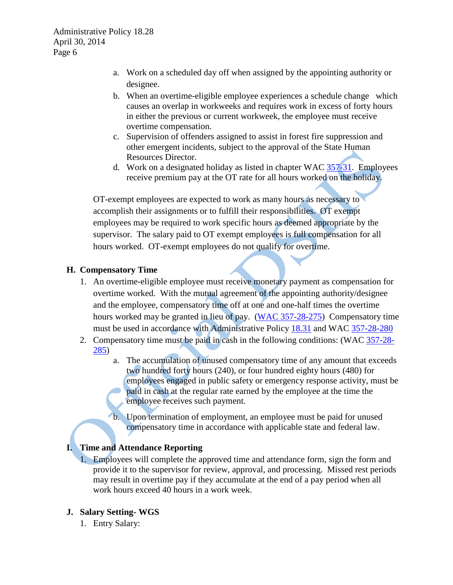- a. Work on a scheduled day off when assigned by the appointing authority or designee.
- b. When an overtime-eligible employee experiences a schedule change which causes an overlap in workweeks and requires work in excess of forty hours in either the previous or current workweek, the employee must receive overtime compensation.
- c. Supervision of offenders assigned to assist in forest fire suppression and other emergent incidents, subject to the approval of the State Human Resources Director.
- d. Work on a designated holiday as listed in chapter WAC [357-31.](http://apps.leg.wa.gov/WAC/default.aspx?cite=357-31) Employees receive premium pay at the OT rate for all hours worked on the holiday.

OT-exempt employees are expected to work as many hours as necessary to accomplish their assignments or to fulfill their responsibilities. OT exempt employees may be required to work specific hours as deemed appropriate by the supervisor. The salary paid to OT exempt employees is full compensation for all hours worked. OT-exempt employees do not qualify for overtime.

## **H. Compensatory Time**

- 1. An overtime-eligible employee must receive monetary payment as compensation for overtime worked. With the mutual agreement of the appointing authority/designee and the employee, compensatory time off at one and one-half times the overtime hours worked may be granted in lieu of pay. [\(WAC 357-28-275\)](http://apps.leg.wa.gov/WAC/default.aspx?cite=357-28-275) Compensatory time must be used in accordance with Administrative Policy [18.31](http://asd.dshs.wa.gov/rpau/documents/Admin-Policy/18-31.htm) and WAC [357-28-280](http://apps.leg.wa.gov/WAC/default.aspx?cite=357-28-280)
- 2. Compensatory time must be paid in cash in the following conditions: (WAC [357-28-](http://apps.leg.wa.gov/WAC/default.aspx?cite=357-28-285) [285\)](http://apps.leg.wa.gov/WAC/default.aspx?cite=357-28-285)
	- a. The accumulation of unused compensatory time of any amount that exceeds two hundred forty hours (240), or four hundred eighty hours (480) for employees engaged in public safety or emergency response activity, must be paid in cash at the regular rate earned by the employee at the time the employee receives such payment.
	- b. Upon termination of employment, an employee must be paid for unused compensatory time in accordance with applicable state and federal law.

## **I. Time and Attendance Reporting**

1. Employees will complete the approved time and attendance form, sign the form and provide it to the supervisor for review, approval, and processing. Missed rest periods may result in overtime pay if they accumulate at the end of a pay period when all work hours exceed 40 hours in a work week.

#### **J. Salary Setting- WGS**

1. Entry Salary: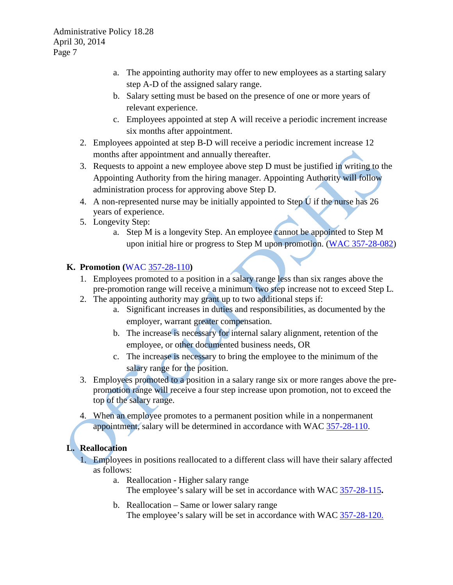- a. The appointing authority may offer to new employees as a starting salary step A-D of the assigned salary range.
- b. Salary setting must be based on the presence of one or more years of relevant experience.
- c. Employees appointed at step A will receive a periodic increment increase six months after appointment.
- 2. Employees appointed at step B-D will receive a periodic increment increase 12 months after appointment and annually thereafter.
- 3. Requests to appoint a new employee above step D must be justified in writing to the Appointing Authority from the hiring manager. Appointing Authority will follow administration process for approving above Step D.
- 4. A non-represented nurse may be initially appointed to Step U if the nurse has 26 years of experience.
- 5. Longevity Step:
	- a. Step M is a longevity Step. An employee cannot be appointed to Step M upon initial hire or progress to Step M upon promotion. [\(WAC 357-28-082\)](http://apps.leg.wa.gov/WAC/default.aspx?cite=357-28-082)

## **K. Promotion (**WAC [357-28-110](http://apps.leg.wa.gov/WAC/default.aspx?cite=357-28-110)**)**

- 1. Employees promoted to a position in a salary range less than six ranges above the pre-promotion range will receive a minimum two step increase not to exceed Step L.
- 2. The appointing authority may grant up to two additional steps if:
	- a. Significant increases in duties and responsibilities, as documented by the employer, warrant greater compensation.
	- b. The increase is necessary for internal salary alignment, retention of the employee, or other documented business needs, OR
	- c. The increase is necessary to bring the employee to the minimum of the salary range for the position.
- 3. Employees promoted to a position in a salary range six or more ranges above the prepromotion range will receive a four step increase upon promotion, not to exceed the top of the salary range.
- 4. When an employee promotes to a permanent position while in a nonpermanent appointment, salary will be determined in accordance with WAC [357-28-110.](http://apps.leg.wa.gov/WAC/default.aspx?cite=357-28-110)

# **L. Reallocation**

1. Employees in positions reallocated to a different class will have their salary affected as follows:

- a. Reallocation Higher salary range The employee's salary will be set in accordance with WAC [357-28-115](http://apps.leg.wa.gov/WAC/default.aspx?cite=357-28-115)**.**
- b. Reallocation Same or lower salary range The employee's salary will be set in accordance with WAC [357-28-120.](http://apps.leg.wa.gov/WAC/default.aspx?cite=357-28-120)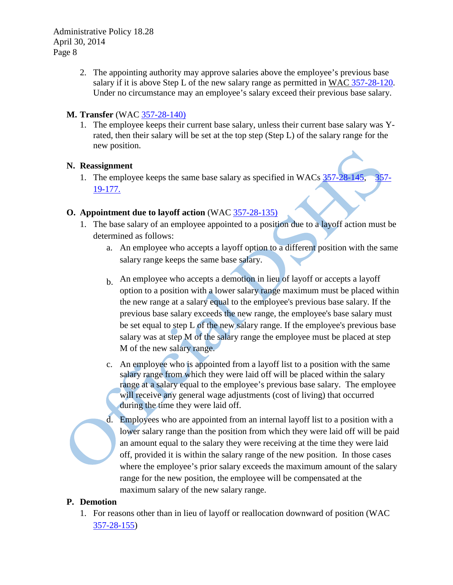> 2. The appointing authority may approve salaries above the employee's previous base salary if it is above Step L of the new salary range as permitted in [WAC 357-28-120.](http://apps.leg.wa.gov/WAC/default.aspx?cite=357-28-120) Under no circumstance may an employee's salary exceed their previous base salary.

#### **M. Transfer** (WAC [357-28-140\)](http://apps.leg.wa.gov/WAC/default.aspx?cite=357-28-140)

1. The employee keeps their current base salary, unless their current base salary was Yrated, then their salary will be set at the top step (Step L) of the salary range for the new position.

#### **N. Reassignment**

1. The employee keeps the same base salary as specified in WACs [357-28-145,](http://apps.leg.wa.gov/WAC/default.aspx?cite=357-28-145) [357-](http://apps.leg.wa.gov/WAC/default.aspx?cite=357-19-177) [19-177.](http://apps.leg.wa.gov/WAC/default.aspx?cite=357-19-177)

#### **O. Appointment due to layoff action** (WAC [357-28-135\)](http://apps.leg.wa.gov/WAC/default.aspx?cite=357-28-135)

- 1. The base salary of an employee appointed to a position due to a layoff action must be determined as follows:
	- a. An employee who accepts a layoff option to a different position with the same salary range keeps the same base salary.
	- b. An employee who accepts a demotion in lieu of layoff or accepts a layoff option to a position with a lower salary range maximum must be placed within the new range at a salary equal to the employee's previous base salary. If the previous base salary exceeds the new range, the employee's base salary must be set equal to step L of the new salary range. If the employee's previous base salary was at step M of the salary range the employee must be placed at step M of the new salary range.
	- c. An employee who is appointed from a layoff list to a position with the same salary range from which they were laid off will be placed within the salary range at a salary equal to the employee's previous base salary. The employee will receive any general wage adjustments (cost of living) that occurred during the time they were laid off.
	- d. Employees who are appointed from an internal layoff list to a position with a lower salary range than the position from which they were laid off will be paid an amount equal to the salary they were receiving at the time they were laid off, provided it is within the salary range of the new position. In those cases where the employee's prior salary exceeds the maximum amount of the salary range for the new position, the employee will be compensated at the maximum salary of the new salary range.

#### **P. Demotion**

1. For reasons other than in lieu of layoff or reallocation downward of position (WAC [357-28-155\)](http://apps.leg.wa.gov/WAC/default.aspx?cite=357-28-155)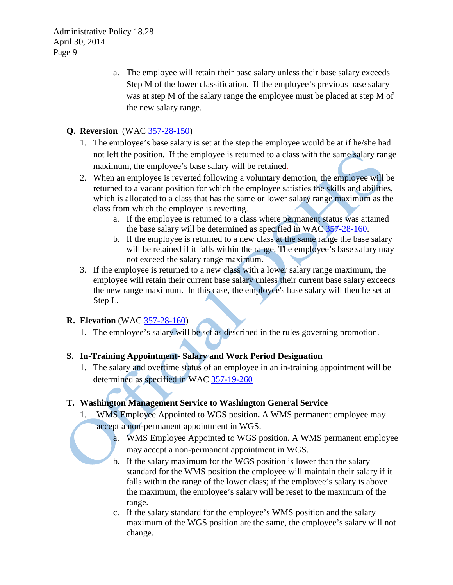> a. The employee will retain their base salary unless their base salary exceeds Step M of the lower classification. If the employee's previous base salary was at step M of the salary range the employee must be placed at step M of the new salary range.

## **Q. Reversion** (WAC [357-28-150\)](http://apps.leg.wa.gov/WAC/default.aspx?cite=357-28-150)

- 1. The employee's base salary is set at the step the employee would be at if he/she had not left the position. If the employee is returned to a class with the same salary range maximum, the employee's base salary will be retained.
- 2. When an employee is reverted following a voluntary demotion, the employee will be returned to a vacant position for which the employee satisfies the skills and abilities, which is allocated to a class that has the same or lower salary range maximum as the class from which the employee is reverting.
	- a. If the employee is returned to a class where permanent status was attained the base salary will be determined as specified in WAC [357-28-160.](http://apps.leg.wa.gov/WAC/default.aspx?cite=357-28-160)
	- b. If the employee is returned to a new class at the same range the base salary will be retained if it falls within the range. The employee's base salary may not exceed the salary range maximum.
- 3. If the employee is returned to a new class with a lower salary range maximum, the employee will retain their current base salary unless their current base salary exceeds the new range maximum. In this case, the employee's base salary will then be set at Step L.

#### **R. Elevation** (WAC [357-28-160\)](http://apps.leg.wa.gov/WAC/default.aspx?cite=357-28-160)

1. The employee's salary will be set as described in the rules governing promotion.

## **S. In-Training Appointment- Salary and Work Period Designation**

1. The salary and overtime status of an employee in an in-training appointment will be determined as specified in WAC [357-19-260](http://apps.leg.wa.gov/WAC/default.aspx?cite=357-19-260)

#### **T. Washington Management Service to Washington General Service**

- 1. WMS Employee Appointed to WGS position**.** A WMS permanent employee may
	- accept a non-permanent appointment in WGS.
		- a. WMS Employee Appointed to WGS position**.** A WMS permanent employee may accept a non-permanent appointment in WGS.
		- b. If the salary maximum for the WGS position is lower than the salary standard for the WMS position the employee will maintain their salary if it falls within the range of the lower class; if the employee's salary is above the maximum, the employee's salary will be reset to the maximum of the range.
		- c. If the salary standard for the employee's WMS position and the salary maximum of the WGS position are the same, the employee's salary will not change.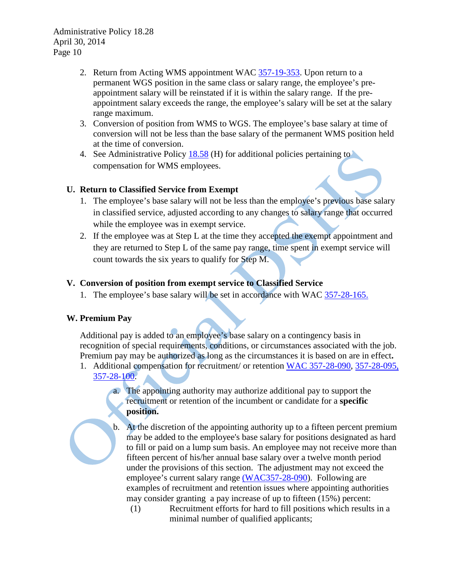- 2. Return from Acting WMS appointment WAC [357-19-353.](http://apps.leg.wa.gov/WAC/default.aspx?cite=357-19-353) Upon return to a permanent WGS position in the same class or salary range, the employee's preappointment salary will be reinstated if it is within the salary range. If the preappointment salary exceeds the range, the employee's salary will be set at the salary range maximum.
- 3. Conversion of position from WMS to WGS. The employee's base salary at time of conversion will not be less than the base salary of the permanent WMS position held at the time of conversion.
- 4. See Administrative Policy [18.58](http://asd.dshs.wa.gov/rpau/documents/Admin-Policy/18-58.htm) (H) for additional policies pertaining to compensation for WMS employees.

#### **U. Return to Classified Service from Exempt**

- 1. The employee's base salary will not be less than the employee's previous base salary in classified service, adjusted according to any changes to salary range that occurred while the employee was in exempt service.
- 2. If the employee was at Step L at the time they accepted the exempt appointment and they are returned to Step L of the same pay range, time spent in exempt service will count towards the six years to qualify for Step M.

## **V. Conversion of position from exempt service to Classified Service**

1. The employee's base salary will be set in accordance with WAC [357-28-165.](http://apps.leg.wa.gov/WAC/default.aspx?cite=357-28-165)

## **W. Premium Pay**

Additional pay is added to an employee's base salary on a contingency basis in recognition of special requirements, conditions, or circumstances associated with the job. Premium pay may be authorized as long as the circumstances it is based on are in effect**.**

- 1. Additional compensation for recruitment/ or retention [WAC 357-28-090,](http://apps.leg.wa.gov/WAC/default.aspx?cite=357-28-090) [357-28-095,](http://apps.leg.wa.gov/WAC/default.aspx?cite=357-28-095) [357-28-100.](http://apps.leg.wa.gov/WAC/default.aspx?cite=357-28-100)
	- a. The appointing authority may authorize additional pay to support the recruitment or retention of the incumbent or candidate for a **specific position.**
	- b. At the discretion of the appointing authority up to a fifteen percent premium may be added to the employee's base salary for positions designated as hard to fill or paid on a lump sum basis. An employee may not receive more than fifteen percent of his/her annual base salary over a twelve month period under the provisions of this section. The adjustment may not exceed the employee's current salary range [\(WAC357-28-090\)](http://apps.leg.wa.gov/WAC/default.aspx?cite=357-28-090). Following are examples of recruitment and retention issues where appointing authorities may consider granting a pay increase of up to fifteen (15%) percent:
		- (1) Recruitment efforts for hard to fill positions which results in a minimal number of qualified applicants;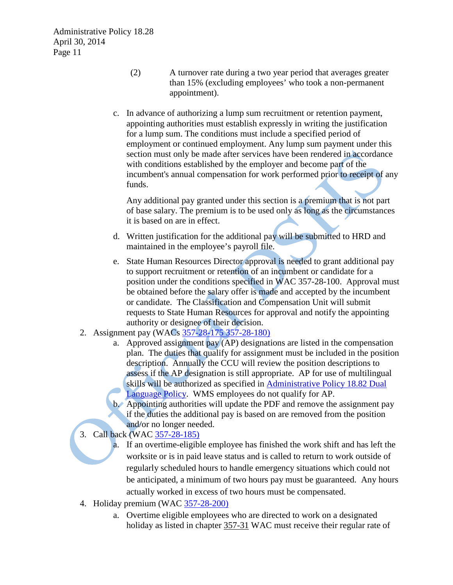- (2) A turnover rate during a two year period that averages greater than 15% (excluding employees' who took a non-permanent appointment).
- c. In advance of authorizing a lump sum recruitment or retention payment, appointing authorities must establish expressly in writing the justification for a lump sum. The conditions must include a specified period of employment or continued employment. Any lump sum payment under this section must only be made after services have been rendered in accordance with conditions established by the employer and become part of the incumbent's annual compensation for work performed prior to receipt of any funds.

Any additional pay granted under this section is a premium that is not part of base salary. The premium is to be used only as long as the circumstances it is based on are in effect.

- d. Written justification for the additional pay will be submitted to HRD and maintained in the employee's payroll file.
- e. State Human Resources Director approval is needed to grant additional pay to support recruitment or retention of an incumbent or candidate for a position under the conditions specified in [WAC 357-28-100.](http://apps.leg.wa.gov/WAC/default.aspx?cite=357-28-100) Approval must be obtained before the salary offer is made and accepted by the incumbent or candidate. The Classification and Compensation Unit will submit requests to State Human Resources for approval and notify the appointing authority or designee of their decision.
- 2. Assignment pay (WACs [357-28-175](http://apps.leg.wa.gov/WAC/default.aspx?cite=357-28-175) [357-28-180\)](http://apps.leg.wa.gov/WAC/default.aspx?cite=357-28-185)
	- a. Approved assignment pay (AP) designations are listed in the compensation plan. The duties that qualify for assignment must be included in the position description. Annually the CCU will review the position descriptions to assess if the AP designation is still appropriate. AP for use of multilingual skills will be authorized as specified in [Administrative Policy 18.82 Dual](http://asd.dshs.wa.gov/rpau/documents/Admin-Policy/18-82.htm)  [Language Policy.](http://asd.dshs.wa.gov/rpau/documents/Admin-Policy/18-82.htm) WMS employees do not qualify for AP.
	- b. Appointing authorities will update the PDF and remove the assignment pay if the duties the additional pay is based on are removed from the position and/or no longer needed.
- 3. Call back (WAC [357-28-185\)](http://apps.leg.wa.gov/WAC/default.aspx?cite=357-28-185)

a. If an overtime-eligible employee has finished the work shift and has left the worksite or is in paid leave status and is called to return to work outside of regularly scheduled hours to handle emergency situations which could not be anticipated, a minimum of two hours pay must be guaranteed. Any hours actually worked in excess of two hours must be compensated.

- 4. Holiday premium (WAC [357-28-200\)](http://apps.leg.wa.gov/WAC/default.aspx?cite=357-28-200)
	- a. Overtime eligible employees who are directed to work on a designated holiday as listed in chapter [357-31](http://apps.leg.wa.gov/WAC/default.aspx?cite=357-31) WAC must receive their regular rate of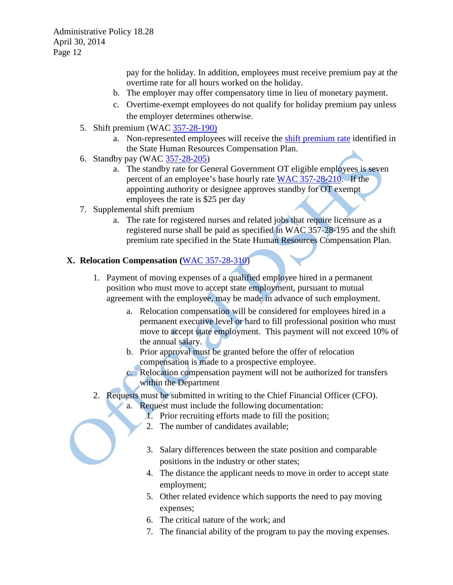pay for the holiday. In addition, employees must receive premium pay at the overtime rate for all hours worked on the holiday.

- b. The employer may offer compensatory time in lieu of monetary payment.
- c. Overtime-exempt employees do not qualify for holiday premium pay unless the employer determines otherwise.
- 5. Shift premium (WAC [357-28-190\)](http://apps.leg.wa.gov/WAC/default.aspx?cite=357-28-190)
	- a. Non-represented employees will receive the [shift premium rate](http://www.hr.wa.gov/SiteCollectionDocuments/CompensationAndJobClasses/Comp%20Plan%20Components/ShiftPremiumRates.doc) identified in the State Human Resources Compensation Plan.
- 6. Standby pay (WAC [357-28-205\)](http://apps.leg.wa.gov/WAC/default.aspx?cite=357-28-205)
	- a. The standby rate for General Government OT eligible employees is seven percent of an employee's base hourly rate [WAC 357-28-210.](http://apps.leg.wa.gov/WAC/default.aspx?cite=357-28-210) If the appointing authority or designee approves standby for OT exempt employees the rate is \$25 per day
- 7. Supplemental shift premium
	- a. The rate for registered nurses and related jobs that require licensure as a registered nurse shall be paid as specified in [WAC 357-28-195](http://apps.leg.wa.gov/WAC/default.aspx?cite=357-28-195) and the [shift](http://www.hr.wa.gov/SiteCollectionDocuments/CompensationAndJobClasses/Comp%20Plan%20Components/ShiftPremiumRates.doc)  [premium rate](http://www.hr.wa.gov/SiteCollectionDocuments/CompensationAndJobClasses/Comp%20Plan%20Components/ShiftPremiumRates.doc) specified in the State Human Resources Compensation Plan.

#### **X. Relocation Compensation (**[WAC 357-28-310\)](http://apps.leg.wa.gov/WAC/default.aspx?cite=357-28-310)

- 1. Payment of moving expenses of a qualified employee hired in a permanent position who must move to accept state employment, pursuant to mutual agreement with the employee, may be made in advance of such employment.
	- a. Relocation compensation will be considered for employees hired in a permanent executive level or hard to fill professional position who must move to accept state employment. This payment will not exceed 10% of the annual salary.
	- b. Prior approval must be granted before the offer of relocation compensation is made to a prospective employee.
	- c. Relocation compensation payment will not be authorized for transfers within the Department
- 2. Requests must be submitted in writing to the Chief Financial Officer (CFO).
	- a. Request must include the following documentation:
		- 1. Prior recruiting efforts made to fill the position;
		- 2. The number of candidates available;
		- 3. Salary differences between the state position and comparable positions in the industry or other states;
		- 4. The distance the applicant needs to move in order to accept state employment;
		- 5. Other related evidence which supports the need to pay moving expenses;
		- 6. The critical nature of the work; and
		- 7. The financial ability of the program to pay the moving expenses.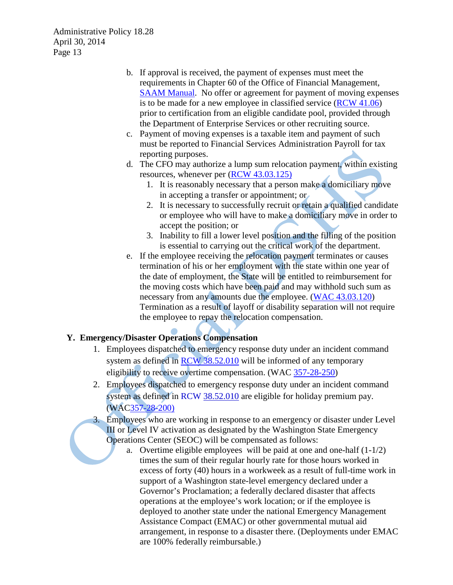- b. If approval is received, the payment of expenses must meet the requirements in Chapter 60 of the Office of Financial Management, [SAAM Manual.](http://www.ofm.wa.gov/policy/60.htm) No offer or agreement for payment of moving expenses is to be made for a new employee in classified service [\(RCW 41.06\)](http://apps.leg.wa.gov/RCW/default.aspx?cite=41.06) prior to certification from an eligible candidate pool, provided through the Department of Enterprise Services or other recruiting source.
- c. Payment of moving expenses is a taxable item and payment of such must be reported to Financial Services Administration Payroll for tax reporting purposes.
- d. The CFO may authorize a lump sum relocation payment, within existing resources, whenever per [\(RCW 43.03.125\)](http://apps.leg.wa.gov/RCW/default.aspx?cite=43.03.125)
	- 1. It is reasonably necessary that a person make a domiciliary move in accepting a transfer or appointment; or
	- 2. It is necessary to successfully recruit or retain a qualified candidate or employee who will have to make a domiciliary move in order to accept the position; or
	- 3. Inability to fill a lower level position and the filling of the position is essential to carrying out the critical work of the department.
- e. If the employee receiving the relocation payment terminates or causes termination of his or her employment with the state within one year of the date of employment, the State will be entitled to reimbursement for the moving costs which have been paid and may withhold such sum as necessary from any amounts due the employee. [\(WAC 43.03.120\)](http://apps.leg.wa.gov/RCW/default.aspx?cite=43.03.120) Termination as a result of layoff or disability separation will not require the employee to repay the relocation compensation.

## **Y. Emergency/Disaster Operations Compensation**

- 1. Employees dispatched to emergency response duty under an incident command system as defined in [RCW 38.52.010](http://apps.leg.wa.gov/RCW/default.aspx?cite=38.52.010) will be informed of any temporary eligibility to receive overtime compensation. (WAC [357-28-250\)](http://apps.leg.wa.gov/WAC/default.aspx?cite=357-28-250)
- 2. Employees dispatched to emergency response duty under an incident command system as defined in RCW [38.52.010](http://apps.leg.wa.gov/RCW/default.aspx?cite=38.52.010) are eligible for holiday premium pay. (WA[C357-28-200\)](http://apps.leg.wa.gov/WAC/default.aspx?cite=357-28-200)
- 3. Employees who are working in response to an emergency or disaster under Level III or Level IV activation as designated by the Washington State Emergency Operations Center (SEOC) will be compensated as follows:
	- a. Overtime eligible employees will be paid at one and one-half (1-1/2) times the sum of their regular hourly rate for those hours worked in excess of forty (40) hours in a workweek as a result of full-time work in support of a Washington state-level emergency declared under a Governor's Proclamation; a federally declared disaster that affects operations at the employee's work location; or if the employee is deployed to another state under the national Emergency Management Assistance Compact (EMAC) or other governmental mutual aid arrangement, in response to a disaster there. (Deployments under EMAC are 100% federally reimbursable.)